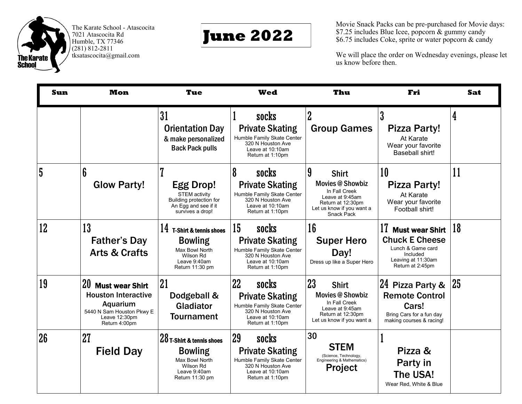

The Karate School - Atascocita 7021 Atascocita Rd Humble, TX 77346 (281) 812-2811 tksatascocita@gmail.com



Movie Snack Packs can be pre-purchased for Movie days: \$7.25 includes Blue Icee, popcorn & gummy candy \$6.75 includes Coke, sprite or water popcorn & candy

We will place the order on Wednesday evenings, please let us know before then.

| Sun | <b>Mon</b>                                                                                                                                         | Tue                                                                                                             | Wed                                                                                                                              | Thu                                                                                                                                                     | Fri                                                                                                                              | <b>Sat</b> |
|-----|----------------------------------------------------------------------------------------------------------------------------------------------------|-----------------------------------------------------------------------------------------------------------------|----------------------------------------------------------------------------------------------------------------------------------|---------------------------------------------------------------------------------------------------------------------------------------------------------|----------------------------------------------------------------------------------------------------------------------------------|------------|
|     |                                                                                                                                                    | 31<br><b>Orientation Day</b><br>& make personalized<br><b>Back Pack pulls</b>                                   | socks<br><b>Private Skating</b><br>Humble Family Skate Center<br>320 N Houston Ave<br>Leave at 10:10am<br>Return at 1:10pm       | $\overline{2}$<br><b>Group Games</b>                                                                                                                    | 3<br>Pizza Party!<br>At Karate<br>Wear your favorite<br>Baseball shirt!                                                          | 4          |
| 5   | 6<br><b>Glow Party!</b>                                                                                                                            | <b>Egg Drop!</b><br><b>STEM activity</b><br>Building protection for<br>An Egg and see if it<br>survives a drop! | 8<br>socks<br><b>Private Skating</b><br>Humble Family Skate Center<br>320 N Houston Ave<br>Leave at 10:10am<br>Return at 1:10pm  | 9<br><b>Shirt</b><br><b>Movies @ Showbiz</b><br>In Fall Creek<br>Leave at 9:45am<br>Return at 12:30pm<br>Let us know if you want a<br><b>Snack Pack</b> | 10<br><b>Pizza Party!</b><br>At Karate<br>Wear your favorite<br>Football shirt!                                                  | 11         |
| 12  | 13<br><b>Father's Day</b><br><b>Arts &amp; Crafts</b>                                                                                              | $14$ T-Shirt & tennis shoes<br><b>Bowling</b><br>Max Bowl North<br>Wilson Rd<br>Leave 9:40am<br>Return 11:30 pm | 15<br>socks<br><b>Private Skating</b><br>Humble Family Skate Center<br>320 N Houston Ave<br>Leave at 10:10am<br>Return at 1:10pm | 16<br><b>Super Hero</b><br>Day!<br>Dress up like a Super Hero                                                                                           | 17<br><b>Must wear Shirt</b><br><b>Chuck E Cheese</b><br>Lunch & Game card<br>Included<br>Leaving at 11:30am<br>Return at 2:45pm | 18         |
| 19  | 20 <sup>°</sup><br><b>Must wear Shirt</b><br><b>Houston Interactive</b><br>Aquarium<br>5440 N Sam Houston Pkwy E<br>Leave 12:30pm<br>Return 4:00pm | 21<br>Dodgeball &<br>Gladiator<br><b>Tournament</b>                                                             | 22<br>socks<br><b>Private Skating</b><br>Humble Family Skate Center<br>320 N Houston Ave<br>Leave at 10:10am<br>Return at 1:10pm | 23<br><b>Shirt</b><br><b>Movies @ Showbiz</b><br>In Fall Creek<br>Leave at 9:45am<br>Return at 12:30pm<br>Let us know if you want a                     | 24 Pizza Party &<br><b>Remote Control</b><br>Cars!<br>Bring Cars for a fun day<br>making courses & racing!                       | 25         |
| 26  | 27<br><b>Field Day</b>                                                                                                                             | 20 T-Shirt & tennis shoes<br><b>Bowling</b><br>Max Bowl North<br>Wilson Rd<br>Leave 9:40am<br>Return 11:30 pm   | 29<br>socks<br><b>Private Skating</b><br>Humble Family Skate Center<br>320 N Houston Ave<br>Leave at 10:10am<br>Return at 1:10pm | 30<br><b>STEM</b><br>(Science, Technology,<br>Engineering & Mathematics)<br><b>Project</b>                                                              | Pizza &<br>Party in<br>The USA!<br>Wear Red, White & Blue                                                                        |            |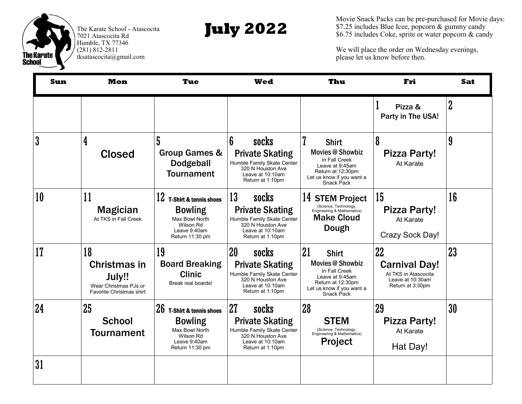

The Karate School - Atascocita 7021 Atascocita Rd Humble, TX 77346 (281) 812-2811 tksatascocita@gmail.com

## **July 2022**

Movie Snack Packs can be pre-purchased for Movie days: \$7.25 includes Blue Icee, popcorn & gummy candy \$6.75 includes Coke, sprite or water popcorn & candy

We will place the order on Wednesday evenings, please let us know before then.

| Sun | <b>Mon</b>                                                                                      | Tue                                                                                                                         | <b>Wed</b>                                                                                                                       | Thu                                                                                                                                                      | Fri                                                                                 | <b>Sat</b>     |
|-----|-------------------------------------------------------------------------------------------------|-----------------------------------------------------------------------------------------------------------------------------|----------------------------------------------------------------------------------------------------------------------------------|----------------------------------------------------------------------------------------------------------------------------------------------------------|-------------------------------------------------------------------------------------|----------------|
|     |                                                                                                 |                                                                                                                             |                                                                                                                                  |                                                                                                                                                          | Pizza &<br>Party in The USA!                                                        | $\overline{2}$ |
| 3   | 4<br><b>Closed</b>                                                                              | 5<br>Group Games &<br><b>Dodgeball</b><br><b>Tournament</b>                                                                 | 6<br>socks<br><b>Private Skating</b><br>Humble Family Skate Center<br>320 N Houston Ave<br>Leave at 10:10am<br>Return at 1:10pm  | 7<br><b>Shirt</b><br><b>Movies @ Showbiz</b><br>In Fall Creek<br>Leave at 9:45am<br>Return at 12:30pm<br>Let us know if you want a<br><b>Snack Pack</b>  | 8<br><b>Pizza Party!</b><br>At Karate                                               | 9              |
| 10  | 11<br><b>Magician</b><br>At TKS in Fall Creek                                                   | 12<br><b>T-Shirt &amp; tennis shoes</b><br><b>Bowling</b><br>Max Bowl North<br>Wilson Rd<br>Leave 9:40am<br>Return 11:30 pm | 13<br>socks<br><b>Private Skating</b><br>Humble Family Skate Center<br>320 N Houston Ave<br>Leave at 10:10am<br>Return at 1:10pm | 14<br><b>STEM Project</b><br>(Science, Technology,<br>Engineering & Mathematics)<br><b>Make Cloud</b><br>Dough                                           | 15<br><b>Pizza Party!</b><br>At Karate<br>Crazy Sock Day!                           | 16             |
| 17  | 18<br><b>Christmas in</b><br>July!!<br>Wear Christmas PJs or<br><b>Favorite Christmas shirt</b> | 19<br><b>Board Breaking</b><br><b>Clinic</b><br>Break real boards!                                                          | 20<br>socks<br><b>Private Skating</b><br>Humble Family Skate Center<br>320 N Houston Ave<br>Leave at 10:10am<br>Return at 1:10pm | 21<br><b>Shirt</b><br><b>Movies @ Showbiz</b><br>In Fall Creek<br>Leave at 9:45am<br>Return at 12:30pm<br>Let us know if you want a<br><b>Snack Pack</b> | 22<br>Carnival Day!<br>At TKS in Atascocita<br>Leave at 10:30am<br>Return at 3:30pm | 23             |
| 24  | 25<br><b>School</b><br><b>Tournament</b>                                                        | 26<br>T-Shirt & tennis shoes<br><b>Bowling</b><br>Max Bowl North<br>Wilson Rd<br>Leave 9:40am<br>Return 11:30 pm            | 27<br>socks<br><b>Private Skating</b><br>Humble Family Skate Center<br>320 N Houston Ave<br>Leave at 10:10am<br>Return at 1:10pm | 28<br><b>STEM</b><br>(Science, Technology,<br>Engineering & Mathematics)<br>Project                                                                      | 29<br><b>Pizza Party!</b><br>At Karate<br>Hat Day!                                  | 30             |
| 31  |                                                                                                 |                                                                                                                             |                                                                                                                                  |                                                                                                                                                          |                                                                                     |                |